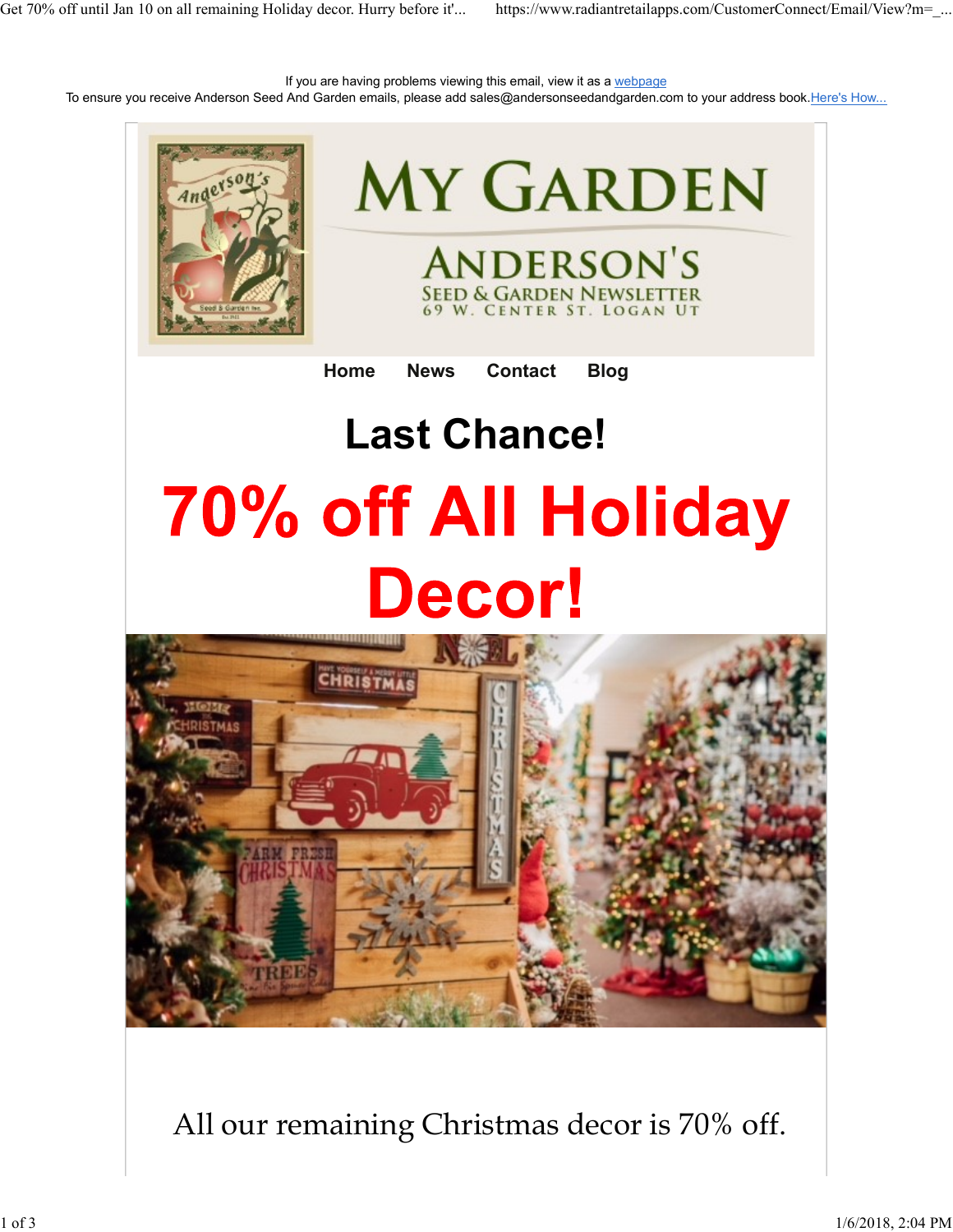If you are having problems viewing this email, view it as a webpage To ensure you receive Anderson Seed And Garden emails, please add sales@andersonseedandgarden.com to your address book.Here's How... Get 70% off until Jan 10 on all remaining Holiday decor. Hurry before it'... https://www.radiantretailapps.com/CustomerConnect/Email/View?m=\_...<br>If you are having problems viewing this email, view it as a <u>webpage</u><br>To ensu



All our remaining Christmas decor is 70% off.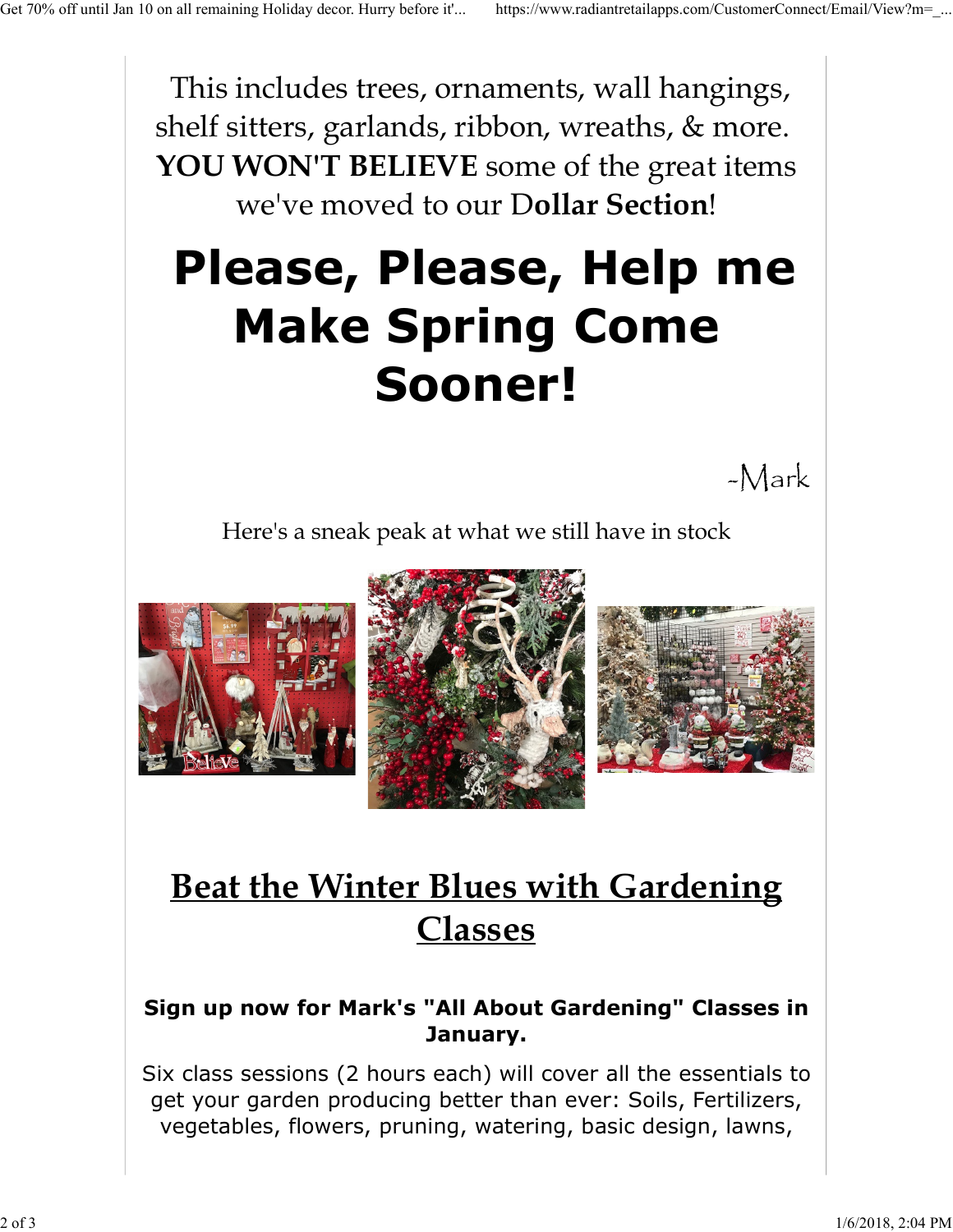This includes trees, ornaments, wall hangings, shelf sitters, garlands, ribbon, wreaths, & more. YOU WON'T BELIEVE some of the great items we've moved to our Dollar Section! Get 70% off until Jan 10 on all remaining Holiday decor. Hurry before it'... https://www.radiantretailapps.com/CustomerConnect/Email/View?m=\_...<br>
This includes trees, ornaments, wall hangings,

## Please, Please, Help me Make Spring Come Sooner!

-Mark

Here's a sneak peak at what we still have in stock







## Beat the Winter Blues with Gardening Classes

## Sign up now for Mark's "All About Gardening" Classes in January.

Six class sessions (2 hours each) will cover all the essentials to get your garden producing better than ever: Soils, Fertilizers, vegetables, flowers, pruning, watering, basic design, lawns, **Beat the Winter Blues with Gardening<br>
Classes<br>
Sign up now for Mark's "All About Gardening" Classes in<br>
January.<br>
Six class sessions (2 hours each) will cover all the essentials to<br>
get your garden producing better than e**